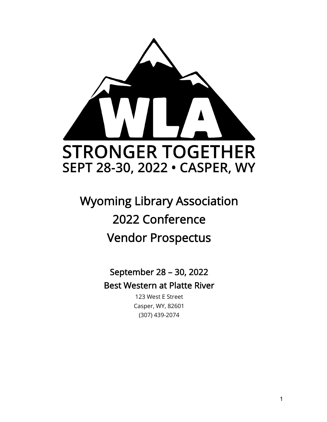

# Wyoming Library Association 2022 Conference Vendor Prospectus

September 28 – 30, 2022 Best Western at Platte River

> 123 West E Street Casper, WY, 82601 (307) 439-2074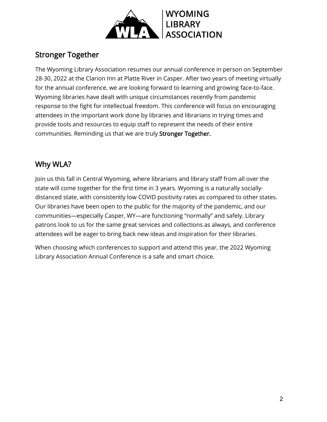

### Stronger Together

The Wyoming Library Association resumes our annual conference in person on September 28-30, 2022 at the Clarion Inn at Platte River in Casper. After two years of meeting virtually for the annual conference, we are looking forward to learning and growing face-to-face. Wyoming libraries have dealt with unique circumstances recently from pandemic response to the fight for intellectual freedom. This conference will focus on encouraging attendees in the important work done by libraries and librarians in trying times and provide tools and resources to equip staff to represent the needs of their entire communities. Reminding us that we are truly Stronger Together.

### Why WLA?

Join us this fall in Central Wyoming, where librarians and library staff from all over the state will come together for the first time in 3 years. Wyoming is a naturally sociallydistanced state, with consistently low COVID positivity rates as compared to other states. Our libraries have been open to the public for the majority of the pandemic, and our communities—especially Casper, WY—are functioning "normally" and safely. Library patrons look to us for the same great services and collections as always, and conference attendees will be eager to bring back new ideas and inspiration for their libraries.

When choosing which conferences to support and attend this year, the 2022 Wyoming Library Association Annual Conference is a safe and smart choice.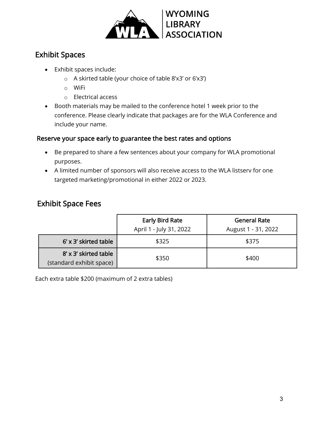

#### Exhibit Spaces

- Exhibit spaces include:
	- o A skirted table (your choice of table 8'x3' or 6'x3')
	- o WiFi
	- o Electrical access
- Booth materials may be mailed to the conference hotel 1 week prior to the conference. Please clearly indicate that packages are for the WLA Conference and include your name.

#### Reserve your space early to guarantee the best rates and options

- Be prepared to share a few sentences about your company for WLA promotional purposes.
- A limited number of sponsors will also receive access to the WLA listserv for one targeted marketing/promotional in either 2022 or 2023.

#### Exhibit Space Fees

|                                                   | <b>Early Bird Rate</b><br>April 1 - July 31, 2022 | <b>General Rate</b><br>August 1 - 31, 2022 |
|---------------------------------------------------|---------------------------------------------------|--------------------------------------------|
|                                                   |                                                   |                                            |
| $6'$ x 3' skirted table                           | \$325                                             | \$375                                      |
| 8' x 3' skirted table<br>(standard exhibit space) | \$350                                             | \$400                                      |

Each extra table \$200 (maximum of 2 extra tables)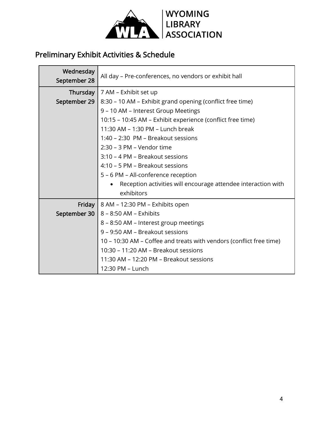

### Preliminary Exhibit Activities & Schedule

| Wednesday<br>September 28 | All day - Pre-conferences, no vendors or exhibit hall                      |
|---------------------------|----------------------------------------------------------------------------|
|                           | <b>Thursday</b>   $7$ AM – Exhibit set up                                  |
| September 29              | 8:30 – 10 AM – Exhibit grand opening (conflict free time)                  |
|                           | 9 - 10 AM - Interest Group Meetings                                        |
|                           | 10:15 - 10:45 AM - Exhibit experience (conflict free time)                 |
|                           | 11:30 AM - 1:30 PM - Lunch break                                           |
|                           | 1:40 - 2:30 PM - Breakout sessions                                         |
|                           | 2:30 - 3 PM - Vendor time                                                  |
|                           | 3:10 - 4 PM - Breakout sessions                                            |
|                           | 4:10 - 5 PM - Breakout sessions                                            |
|                           | 5 - 6 PM - All-conference reception                                        |
|                           | Reception activities will encourage attendee interaction with<br>$\bullet$ |
|                           | exhibitors                                                                 |
| Friday                    | 8 AM - 12:30 PM - Exhibits open                                            |
| September 30              | 8 - 8:50 AM - Exhibits                                                     |
|                           | 8 - 8:50 AM - Interest group meetings                                      |
|                           | 9 – 9:50 AM – Breakout sessions                                            |
|                           | 10 – 10:30 AM – Coffee and treats with vendors (conflict free time)        |
|                           | 10:30 - 11:20 AM - Breakout sessions                                       |
|                           | 11:30 AM – 12:20 PM – Breakout sessions                                    |
|                           | 12:30 PM - Lunch                                                           |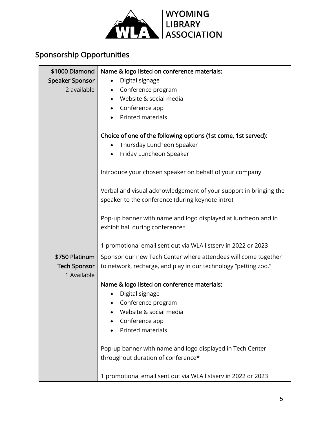

## Sponsorship Opportunities

| \$1000 Diamond<br><b>Speaker Sponsor</b><br>2 available | Name & logo listed on conference materials:<br>Digital signage<br>$\bullet$<br>Conference program<br>$\bullet$<br>Website & social media<br>$\bullet$<br>Conference app<br>Printed materials<br>Choice of one of the following options (1st come, 1st served):<br>Thursday Luncheon Speaker<br>• Friday Luncheon Speaker<br>Introduce your chosen speaker on behalf of your company<br>Verbal and visual acknowledgement of your support in bringing the<br>speaker to the conference (during keynote intro)<br>Pop-up banner with name and logo displayed at luncheon and in<br>exhibit hall during conference* |
|---------------------------------------------------------|------------------------------------------------------------------------------------------------------------------------------------------------------------------------------------------------------------------------------------------------------------------------------------------------------------------------------------------------------------------------------------------------------------------------------------------------------------------------------------------------------------------------------------------------------------------------------------------------------------------|
|                                                         | 1 promotional email sent out via WLA listserv in 2022 or 2023                                                                                                                                                                                                                                                                                                                                                                                                                                                                                                                                                    |
| \$750 Platinum<br><b>Tech Sponsor</b><br>1 Available    | Sponsor our new Tech Center where attendees will come together<br>to network, recharge, and play in our technology "petting zoo."<br>Name & logo listed on conference materials:<br>Digital signage<br>Conference program<br>Website & social media<br>Conference app<br>Printed materials<br>Pop-up banner with name and logo displayed in Tech Center<br>throughout duration of conference*<br>1 promotional email sent out via WLA listserv in 2022 or 2023                                                                                                                                                   |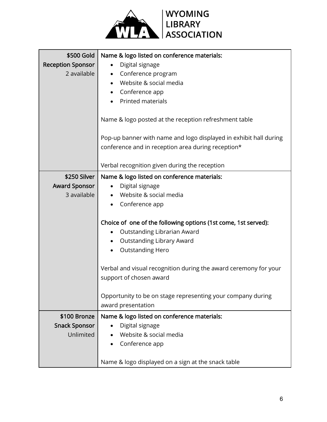

| \$500 Gold<br><b>Reception Sponsor</b><br>2 available | Name & logo listed on conference materials:<br>Digital signage<br>$\bullet$<br>Conference program<br>$\bullet$<br>Website & social media<br>Conference app |
|-------------------------------------------------------|------------------------------------------------------------------------------------------------------------------------------------------------------------|
|                                                       | <b>Printed materials</b><br>Name & logo posted at the reception refreshment table                                                                          |
|                                                       | Pop-up banner with name and logo displayed in exhibit hall during<br>conference and in reception area during reception*                                    |
|                                                       | Verbal recognition given during the reception                                                                                                              |
| \$250 Silver<br><b>Award Sponsor</b>                  | Name & logo listed on conference materials:<br>Digital signage                                                                                             |
| 3 available                                           | Website & social media<br>Conference app                                                                                                                   |
|                                                       | Choice of one of the following options (1st come, 1st served):<br>Outstanding Librarian Award<br><b>Outstanding Library Award</b><br>$\bullet$             |
|                                                       | <b>Outstanding Hero</b><br>Verbal and visual recognition during the award ceremony for your<br>support of chosen award                                     |
|                                                       | Opportunity to be on stage representing your company during<br>award presentation                                                                          |
| \$100 Bronze                                          | Name & logo listed on conference materials:                                                                                                                |
| <b>Snack Sponsor</b>                                  | Digital signage                                                                                                                                            |
| Unlimited                                             | Website & social media<br>Conference app                                                                                                                   |
|                                                       | Name & logo displayed on a sign at the snack table                                                                                                         |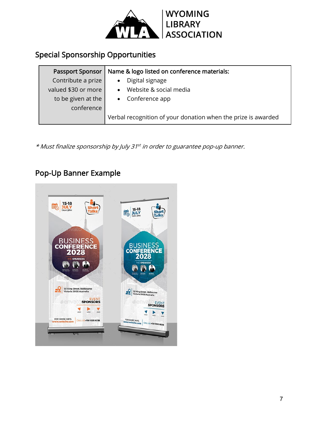

### Special Sponsorship Opportunities

| Passport Sponsor    | Name & logo listed on conference materials:                   |
|---------------------|---------------------------------------------------------------|
| Contribute a prize  | Digital signage                                               |
| valued \$30 or more | Website & social media<br>$\bullet$                           |
| to be given at the  | • Conference app                                              |
| conference          |                                                               |
|                     | Verbal recognition of your donation when the prize is awarded |

\* Must finalize sponsorship by July 31st in order to guarantee pop-up banner.

### Pop-Up Banner Example